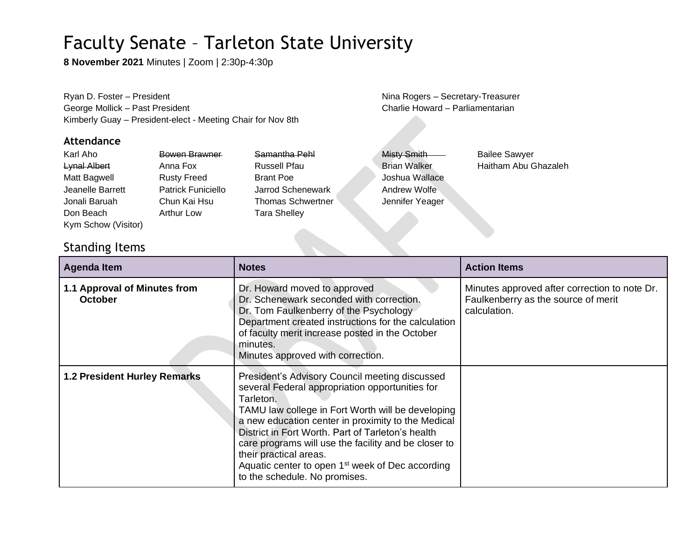**8 November 2021** Minutes | Zoom | 2:30p-4:30p

Ryan D. Foster – President Nina Rogers – Secretary-Treasurer George Mollick – Past President Charlie Howard – Parliamentarian Kimberly Guay – President-elect - Meeting Chair for Nov 8th

#### **Attendance**

| Karl Aho            | Bowen Brawner             | Samantha Pehl            | <b>Misty Smith</b>  | <b>Bailee Sawyer</b> |
|---------------------|---------------------------|--------------------------|---------------------|----------------------|
| <b>Lynal Albert</b> | Anna Fox                  | <b>Russell Pfau</b>      | <b>Brian Walker</b> | Haitham Abu Ghazaleh |
| Matt Bagwell        | <b>Rusty Freed</b>        | <b>Brant Poe</b>         | Joshua Wallace      |                      |
| Jeanelle Barrett    | <b>Patrick Funiciello</b> | Jarrod Schenewark        | Andrew Wolfe        |                      |
| Jonali Baruah       | Chun Kai Hsu              | <b>Thomas Schwertner</b> | Jennifer Yeager     |                      |
| Don Beach           | <b>Arthur Low</b>         | <b>Tara Shelley</b>      |                     |                      |
| Kym Schow (Visitor) |                           |                          |                     |                      |

### Standing Items

| <b>Agenda Item</b>                             | <b>Notes</b>                                                                                                                                                                                                                                                                                                                                                                                                                                                      | <b>Action Items</b>                                                                                  |
|------------------------------------------------|-------------------------------------------------------------------------------------------------------------------------------------------------------------------------------------------------------------------------------------------------------------------------------------------------------------------------------------------------------------------------------------------------------------------------------------------------------------------|------------------------------------------------------------------------------------------------------|
| 1.1 Approval of Minutes from<br><b>October</b> | Dr. Howard moved to approved<br>Dr. Schenewark seconded with correction.<br>Dr. Tom Faulkenberry of the Psychology<br>Department created instructions for the calculation<br>of faculty merit increase posted in the October<br>minutes.<br>Minutes approved with correction.                                                                                                                                                                                     | Minutes approved after correction to note Dr.<br>Faulkenberry as the source of merit<br>calculation. |
| <b>1.2 President Hurley Remarks</b>            | President's Advisory Council meeting discussed<br>several Federal appropriation opportunities for<br>Tarleton.<br>TAMU law college in Fort Worth will be developing<br>a new education center in proximity to the Medical<br>District in Fort Worth, Part of Tarleton's health<br>care programs will use the facility and be closer to<br>their practical areas.<br>Aquatic center to open 1 <sup>st</sup> week of Dec according<br>to the schedule. No promises. |                                                                                                      |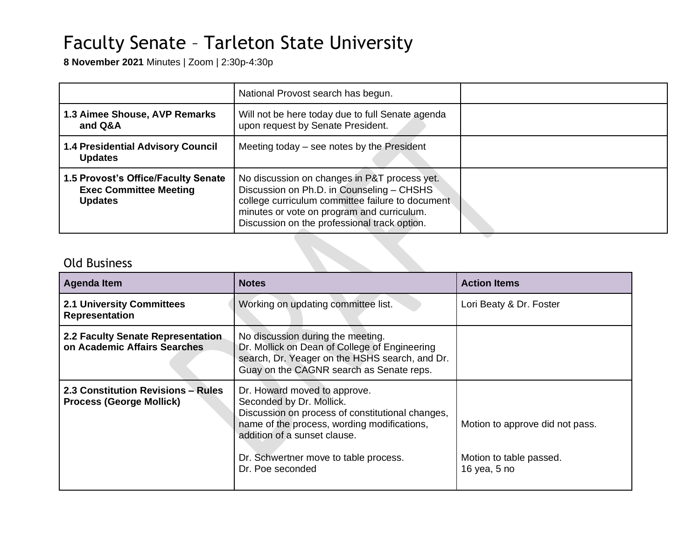**8 November 2021** Minutes | Zoom | 2:30p-4:30p

|                                                                                        | National Provost search has begun.                                                                                                                                                                                                          |  |
|----------------------------------------------------------------------------------------|---------------------------------------------------------------------------------------------------------------------------------------------------------------------------------------------------------------------------------------------|--|
| 1.3 Aimee Shouse, AVP Remarks<br>and Q&A                                               | Will not be here today due to full Senate agenda<br>upon request by Senate President.                                                                                                                                                       |  |
| <b>1.4 Presidential Advisory Council</b><br><b>Updates</b>                             | Meeting today $-$ see notes by the President                                                                                                                                                                                                |  |
| 1.5 Provost's Office/Faculty Senate<br><b>Exec Committee Meeting</b><br><b>Updates</b> | No discussion on changes in P&T process yet.<br>Discussion on Ph.D. in Counseling - CHSHS<br>college curriculum committee failure to document<br>minutes or vote on program and curriculum.<br>Discussion on the professional track option. |  |

## Old Business

| <b>Agenda Item</b>                                                    | <b>Notes</b>                                                                                                                                                                                                                                             | <b>Action Items</b>                                                        |
|-----------------------------------------------------------------------|----------------------------------------------------------------------------------------------------------------------------------------------------------------------------------------------------------------------------------------------------------|----------------------------------------------------------------------------|
| <b>2.1 University Committees</b><br><b>Representation</b>             | Working on updating committee list.                                                                                                                                                                                                                      | Lori Beaty & Dr. Foster                                                    |
| 2.2 Faculty Senate Representation<br>on Academic Affairs Searches     | No discussion during the meeting.<br>Dr. Mollick on Dean of College of Engineering<br>search, Dr. Yeager on the HSHS search, and Dr.<br>Guay on the CAGNR search as Senate reps.                                                                         |                                                                            |
| 2.3 Constitution Revisions - Rules<br><b>Process (George Mollick)</b> | Dr. Howard moved to approve.<br>Seconded by Dr. Mollick.<br>Discussion on process of constitutional changes,<br>name of the process, wording modifications,<br>addition of a sunset clause.<br>Dr. Schwertner move to table process.<br>Dr. Poe seconded | Motion to approve did not pass.<br>Motion to table passed.<br>16 yea, 5 no |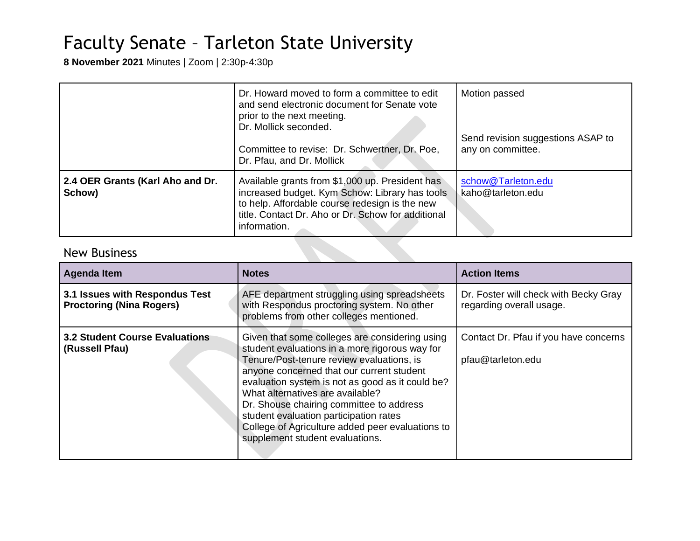**8 November 2021** Minutes | Zoom | 2:30p-4:30p

|                                            | Dr. Howard moved to form a committee to edit<br>and send electronic document for Senate vote<br>prior to the next meeting.<br>Dr. Mollick seconded.<br>Committee to revise: Dr. Schwertner, Dr. Poe,<br>Dr. Pfau, and Dr. Mollick | Motion passed<br>Send revision suggestions ASAP to<br>any on committee. |
|--------------------------------------------|-----------------------------------------------------------------------------------------------------------------------------------------------------------------------------------------------------------------------------------|-------------------------------------------------------------------------|
| 2.4 OER Grants (Karl Aho and Dr.<br>Schow) | Available grants from \$1,000 up. President has<br>increased budget. Kym Schow: Library has tools<br>to help. Affordable course redesign is the new<br>title. Contact Dr. Aho or Dr. Schow for additional<br>information.         | schow@Tarleton.edu<br>kaho@tarleton.edu                                 |

**Contract Contract Contract Contract** 

### New Business

| <b>Agenda Item</b>                                                | <b>Notes</b>                                                                                                                                                                                                                                                                                                                                                                                                                                                    | <b>Action Items</b>                                               |
|-------------------------------------------------------------------|-----------------------------------------------------------------------------------------------------------------------------------------------------------------------------------------------------------------------------------------------------------------------------------------------------------------------------------------------------------------------------------------------------------------------------------------------------------------|-------------------------------------------------------------------|
| 3.1 Issues with Respondus Test<br><b>Proctoring (Nina Rogers)</b> | AFE department struggling using spreadsheets<br>with Respondus proctoring system. No other<br>problems from other colleges mentioned.                                                                                                                                                                                                                                                                                                                           | Dr. Foster will check with Becky Gray<br>regarding overall usage. |
| <b>3.2 Student Course Evaluations</b><br>(Russell Pfau)           | Given that some colleges are considering using<br>student evaluations in a more rigorous way for<br>Tenure/Post-tenure review evaluations, is<br>anyone concerned that our current student<br>evaluation system is not as good as it could be?<br>What alternatives are available?<br>Dr. Shouse chairing committee to address<br>student evaluation participation rates<br>College of Agriculture added peer evaluations to<br>supplement student evaluations. | Contact Dr. Pfau if you have concerns<br>pfau@tarleton.edu        |